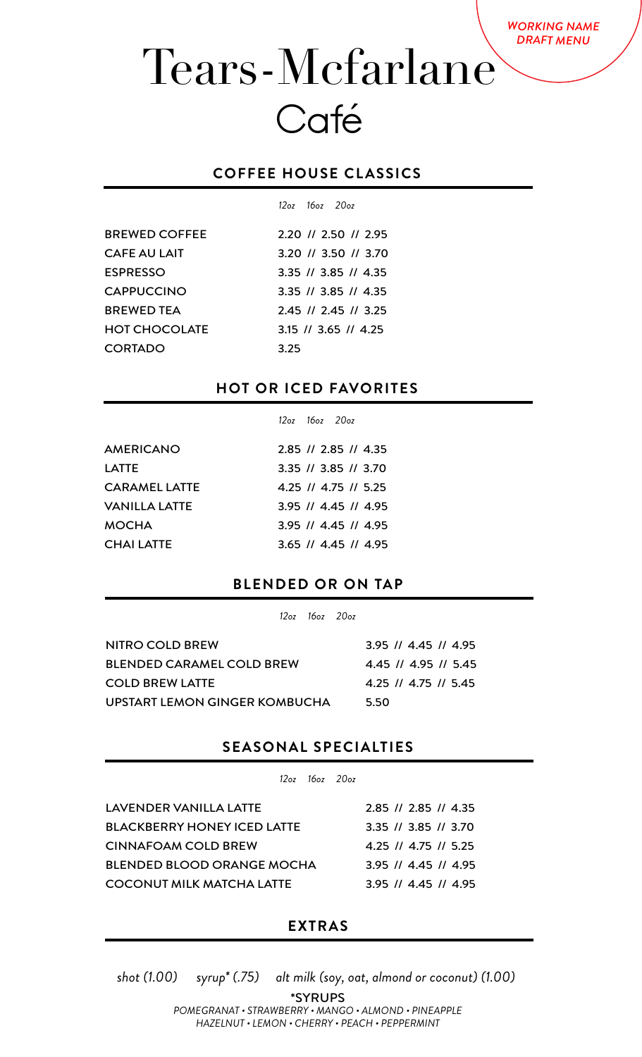# Tears-Mcfarlane Café

#### **COFFEE HOUSE CLASSICS**

|                      |      | $12a^2$ $16a^2$ $20a^2$ |                            |
|----------------------|------|-------------------------|----------------------------|
| <b>BREWED COFFEE</b> |      |                         | 2.20 // 2.50 // 2.95       |
| <b>CAFE AU LAIT</b>  |      |                         | 3.20 // 3.50 // 3.70       |
| <b>ESPRESSO</b>      |      |                         | 3.35 // 3.85 // 4.35       |
| <b>CAPPUCCINO</b>    |      |                         | $3.35$ // $3.85$ // $4.35$ |
| <b>BREWED TEA</b>    |      |                         | 2.45 // 2.45 // 3.25       |
| <b>HOT CHOCOLATE</b> |      |                         | $3.15$ // $3.65$ // $4.25$ |
| <b>CORTADO</b>       | 3.25 |                         |                            |

#### **HOT OR ICED FAVORITES**

|                      | $12oz$ $16oz$ $20oz$ |                        |
|----------------------|----------------------|------------------------|
| <b>AMERICANO</b>     |                      | 2.85 // 2.85 // 4.35   |
| LATTE                |                      | 3.35 // 3.85 // 3.70   |
| <b>CARAMEL LATTE</b> |                      | 4.25 // 4.75 // 5.25   |
| VANILLA LATTE        |                      | $3.95$ // 4.45 // 4.95 |
| MOCHA                |                      | $3.95$ // 4.45 // 4.95 |
| <b>CHAILATTE</b>     |                      | $3.65$ // 4.45 // 4.95 |

#### **BLENDED OR ON TAP**

*12oz 16oz 20oz*

| NITRO COLD BREW                  | $3.95$ // 4.45 // 4.95 |
|----------------------------------|------------------------|
| <b>BLENDED CARAMEL COLD BREW</b> | 4.45 // 4.95 // 5.45   |
| <b>COLD BREW LATTE</b>           | 4.25 // 4.75 // 5.45   |
| UPSTART LEMON GINGER KOMBUCHA    | 5.50                   |
|                                  |                        |

#### **SEASONAL SPECIALTIES**

*12oz 16oz 20oz*

| LAVENDER VANILLA LATTE             | $2.85$ // 2.85 // 4.35                     |
|------------------------------------|--------------------------------------------|
| <b>BLACKBERRY HONEY ICED LATTE</b> | 3.35 // 3.85 // 3.70                       |
| <b>CINNAFOAM COLD BREW</b>         | 4.25 $\frac{1}{4}$ 4.75 $\frac{1}{5}$ 5.25 |
| <b>BLENDED BLOOD ORANGE MOCHA</b>  | $3.95$ // 4.45 // 4.95                     |
| COCONUT MILK MATCHA LATTE          | $3.95$ // 4.45 // 4.95                     |

#### **EXTRAS**

*shot (1.00) syrup\* (.75) alt milk (soy, oat, almond or coconut) (1.00)* 

\*SYRUPS *POMEGRANAT • STRAWBERRY • MANGO • ALMOND • PINEAPPLE HAZELNUT • LEMON • CHERRY • PEACH • PEPPERMINT*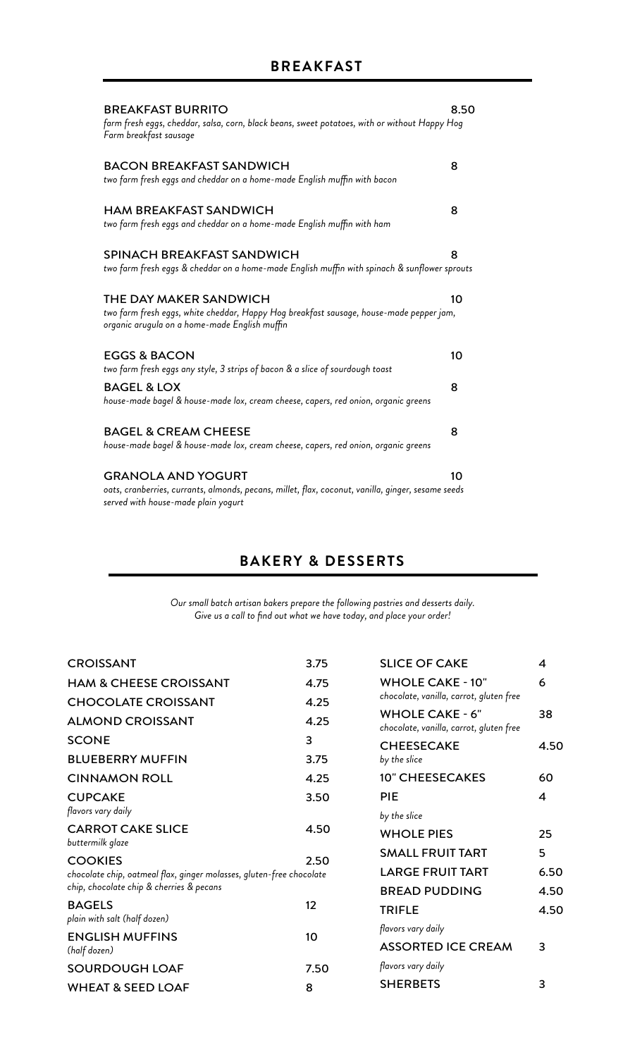| <b>BREAKFAST BURRITO</b>                                                                                                                                           | 8.50 |
|--------------------------------------------------------------------------------------------------------------------------------------------------------------------|------|
| farm fresh eggs, cheddar, salsa, corn, black beans, sweet potatoes, with or without Happy Hog<br>Farm breakfast sausage                                            |      |
| <b>BACON BREAKFAST SANDWICH</b><br>two farm fresh eggs and cheddar on a home-made English muffin with bacon                                                        | 8    |
| <b>HAM BREAKFAST SANDWICH</b><br>two farm fresh eggs and cheddar on a home-made English muffin with ham                                                            | 8    |
| SPINACH BREAKFAST SANDWICH<br>two farm fresh eggs & cheddar on a home-made English muffin with spinach & sunflower sprouts                                         | 8    |
| THE DAY MAKER SANDWICH<br>two farm fresh eggs, white cheddar, Happy Hog breakfast sausage, house-made pepper jam,<br>organic arugula on a home-made English muffin | 10   |
| <b>EGGS &amp; BACON</b><br>two farm fresh eggs any style, 3 strips of bacon & a slice of sourdough toast                                                           | 10   |
| <b>BAGEL &amp; LOX</b><br>house-made bagel & house-made lox, cream cheese, capers, red onion, organic greens                                                       | 8    |
| <b>BAGEL &amp; CREAM CHEESE</b><br>house-made bagel & house-made lox, cream cheese, capers, red onion, organic greens                                              | 8    |
| <b>GRANOLA AND YOGURT</b><br>oats, cranberries, currants, almonds, pecans, millet, flax, coconut, vanilla, ginger, sesame seeds                                    | 10   |

*served with house-made plain yogurt*

### **BAKERY & DESSERTS**

*Our small batch artisan bakers prepare the following pastries and desserts daily. Give us a call to find out what we have today, and place your order!*

| <b>CROISSANT</b>                                                     | 3.75 | <b>SLICE OF CAKE</b>                                              | 4    |
|----------------------------------------------------------------------|------|-------------------------------------------------------------------|------|
| <b>HAM &amp; CHEESE CROISSANT</b>                                    | 4.75 | <b>WHOLE CAKE - 10"</b>                                           | 6    |
| <b>CHOCOLATE CROISSANT</b>                                           | 4.25 | chocolate, vanilla, carrot, gluten free                           |      |
| <b>ALMOND CROISSANT</b>                                              | 4.25 | <b>WHOLE CAKE - 6"</b><br>chocolate, vanilla, carrot, gluten free | 38   |
| <b>SCONE</b>                                                         | 3    | <b>CHEESECAKE</b>                                                 | 4.50 |
| <b>BLUEBERRY MUFFIN</b>                                              | 3.75 | by the slice                                                      |      |
| <b>CINNAMON ROLL</b>                                                 | 4.25 | <b>10" CHEESECAKES</b>                                            | 60   |
| <b>CUPCAKE</b>                                                       | 3.50 | <b>PIE</b>                                                        | 4    |
| flavors vary daily                                                   |      | by the slice                                                      |      |
| <b>CARROT CAKE SLICE</b><br>buttermilk glaze                         | 4.50 | <b>WHOLE PIES</b>                                                 | 25   |
| <b>COOKIES</b>                                                       | 2.50 | <b>SMALL FRUIT TART</b>                                           | 5    |
| chocolate chip, oatmeal flax, ginger molasses, gluten-free chocolate |      | <b>LARGE FRUIT TART</b>                                           | 6.50 |
| chip, chocolate chip & cherries & pecans                             |      | <b>BREAD PUDDING</b>                                              | 4.50 |
| <b>BAGELS</b><br>plain with salt (half dozen)                        | 12   | <b>TRIFLE</b>                                                     | 4.50 |
| <b>ENGLISH MUFFINS</b>                                               | 10   | flavors vary daily                                                |      |
| (half dozen)                                                         |      | <b>ASSORTED ICE CREAM</b>                                         | 3    |
| <b>SOURDOUGH LOAF</b>                                                | 7.50 | flavors vary daily                                                |      |
| <b>WHEAT &amp; SEED LOAF</b>                                         | 8    | <b>SHERBETS</b>                                                   | 3    |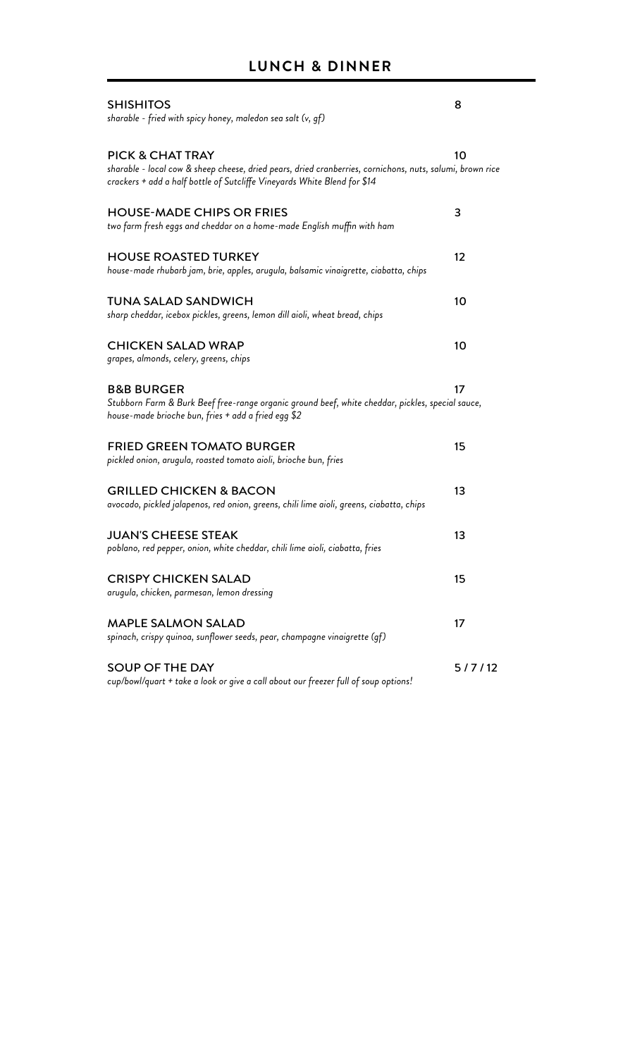| <b>SHISHITOS</b><br>sharable - fried with spicy honey, maledon sea salt (v, gf)                                                                                                                                      | 8      |
|----------------------------------------------------------------------------------------------------------------------------------------------------------------------------------------------------------------------|--------|
| <b>PICK &amp; CHAT TRAY</b><br>sharable - local cow & sheep cheese, dried pears, dried cranberries, cornichons, nuts, salumi, brown rice<br>crackers + add a half bottle of Sutcliffe Vineyards White Blend for \$14 | 10     |
| <b>HOUSE-MADE CHIPS OR FRIES</b><br>two farm fresh eggs and cheddar on a home-made English muffin with ham                                                                                                           | 3      |
| <b>HOUSE ROASTED TURKEY</b><br>house-made rhubarb jam, brie, apples, arugula, balsamic vinaigrette, ciabatta, chips                                                                                                  | 12     |
| <b>TUNA SALAD SANDWICH</b><br>sharp cheddar, icebox pickles, greens, lemon dill aioli, wheat bread, chips                                                                                                            | 10     |
| <b>CHICKEN SALAD WRAP</b><br>grapes, almonds, celery, greens, chips                                                                                                                                                  | 10     |
| <b>B&amp;B BURGER</b><br>Stubborn Farm & Burk Beef free-range organic ground beef, white cheddar, pickles, special sauce,<br>house-made brioche bun, fries + add a fried egg \$2                                     | 17     |
| <b>FRIED GREEN TOMATO BURGER</b><br>pickled onion, arugula, roasted tomato aioli, brioche bun, fries                                                                                                                 | 15     |
| <b>GRILLED CHICKEN &amp; BACON</b><br>avocado, pickled jalapenos, red onion, greens, chili lime aioli, greens, ciabatta, chips                                                                                       | 13     |
| <b>JUAN'S CHEESE STEAK</b><br>poblano, red pepper, onion, white cheddar, chili lime aioli, ciabatta, fries                                                                                                           | 13     |
| <b>CRISPY CHICKEN SALAD</b><br>arugula, chicken, parmesan, lemon dressing                                                                                                                                            | 15     |
| <b>MAPLE SALMON SALAD</b><br>spinach, crispy quinoa, sunflower seeds, pear, champagne vinaigrette (gf)                                                                                                               | 17     |
| <b>SOUP OF THE DAY</b><br>cup/bowl/quart + take a look or give a call about our freezer full of soup options!                                                                                                        | 5/7/12 |